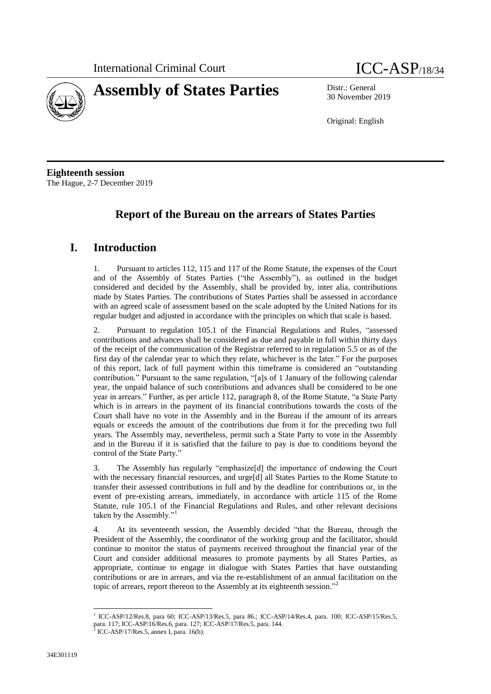



30 November 2019

Original: English

**Eighteenth session** The Hague, 2-7 December 2019

# **Report of the Bureau on the arrears of States Parties**

# **I. Introduction**

1. Pursuant to articles 112, 115 and 117 of the Rome Statute, the expenses of the Court and of the Assembly of States Parties ("the Assembly"), as outlined in the budget considered and decided by the Assembly, shall be provided by, inter alia, contributions made by States Parties. The contributions of States Parties shall be assessed in accordance with an agreed scale of assessment based on the scale adopted by the United Nations for its regular budget and adjusted in accordance with the principles on which that scale is based.

2. Pursuant to regulation 105.1 of the Financial Regulations and Rules, "assessed contributions and advances shall be considered as due and payable in full within thirty days of the receipt of the communication of the Registrar referred to in regulation 5.5 or as of the first day of the calendar year to which they relate, whichever is the later." For the purposes of this report, lack of full payment within this timeframe is considered an "outstanding contribution." Pursuant to the same regulation, "[a]s of 1 January of the following calendar year, the unpaid balance of such contributions and advances shall be considered to be one year in arrears." Further, as per article 112, paragraph 8, of the Rome Statute, "a State Party which is in arrears in the payment of its financial contributions towards the costs of the Court shall have no vote in the Assembly and in the Bureau if the amount of its arrears equals or exceeds the amount of the contributions due from it for the preceding two full years. The Assembly may, nevertheless, permit such a State Party to vote in the Assembly and in the Bureau if it is satisfied that the failure to pay is due to conditions beyond the control of the State Party."

3. The Assembly has regularly "emphasize[d] the importance of endowing the Court with the necessary financial resources, and urge[d] all States Parties to the Rome Statute to transfer their assessed contributions in full and by the deadline for contributions or, in the event of pre-existing arrears, immediately, in accordance with article 115 of the Rome Statute, rule 105.1 of the Financial Regulations and Rules, and other relevant decisions taken by the Assembly."

4. At its seventeenth session, the Assembly decided "that the Bureau, through the President of the Assembly, the coordinator of the working group and the facilitator, should continue to monitor the status of payments received throughout the financial year of the Court and consider additional measures to promote payments by all States Parties, as appropriate, continue to engage in dialogue with States Parties that have outstanding contributions or are in arrears, and via the re-establishment of an annual facilitation on the topic of arrears, report thereon to the Assembly at its eighteenth session."<sup>2</sup>

<sup>1</sup> 1 ICC-ASP/12/Res.8, para 60; ICC-ASP/13/Res.5, para 86.; ICC-ASP/14/Res.4, para. 100; ICC-ASP/15/Res.5, para. 117; ICC-ASP/16/Res.6, para. 127; ICC-ASP/17/Res.5, para. 144.

ICC-ASP/17/Res.5, annex I, para. 16(b).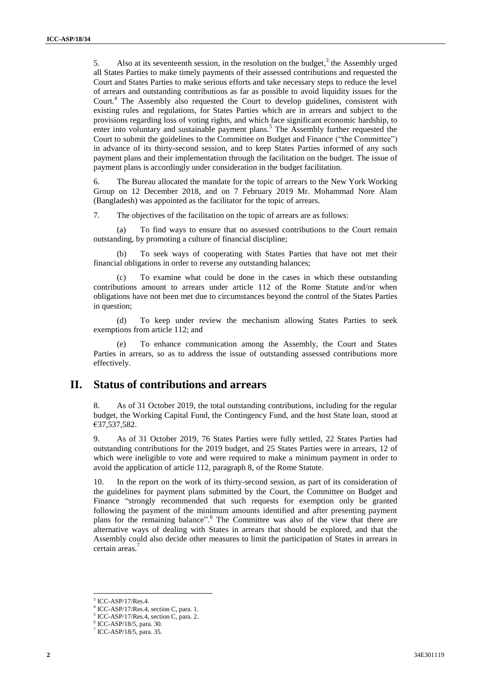5. Also at its seventeenth session, in the resolution on the budget, $3$  the Assembly urged all States Parties to make timely payments of their assessed contributions and requested the Court and States Parties to make serious efforts and take necessary steps to reduce the level of arrears and outstanding contributions as far as possible to avoid liquidity issues for the Court.<sup>4</sup> The Assembly also requested the Court to develop guidelines, consistent with existing rules and regulations, for States Parties which are in arrears and subject to the provisions regarding loss of voting rights, and which face significant economic hardship, to enter into voluntary and sustainable payment plans.<sup>5</sup> The Assembly further requested the Court to submit the guidelines to the Committee on Budget and Finance ("the Committee") in advance of its thirty-second session, and to keep States Parties informed of any such payment plans and their implementation through the facilitation on the budget. The issue of payment plans is accordingly under consideration in the budget facilitation.

6. The Bureau allocated the mandate for the topic of arrears to the New York Working Group on 12 December 2018, and on 7 February 2019 Mr. Mohammad Nore Alam (Bangladesh) was appointed as the facilitator for the topic of arrears.

7. The objectives of the facilitation on the topic of arrears are as follows:

(a) To find ways to ensure that no assessed contributions to the Court remain outstanding, by promoting a culture of financial discipline;

(b) To seek ways of cooperating with States Parties that have not met their financial obligations in order to reverse any outstanding balances;

(c) To examine what could be done in the cases in which these outstanding contributions amount to arrears under article 112 of the Rome Statute and/or when obligations have not been met due to circumstances beyond the control of the States Parties in question;

(d) To keep under review the mechanism allowing States Parties to seek exemptions from article 112; and

To enhance communication among the Assembly, the Court and States Parties in arrears, so as to address the issue of outstanding assessed contributions more effectively.

### **II. Status of contributions and arrears**

8. As of 31 October 2019, the total outstanding contributions, including for the regular budget, the Working Capital Fund, the Contingency Fund, and the host State loan, stood at €37,537,582.

9. As of 31 October 2019, 76 States Parties were fully settled, 22 States Parties had outstanding contributions for the 2019 budget, and 25 States Parties were in arrears, 12 of which were ineligible to vote and were required to make a minimum payment in order to avoid the application of article 112, paragraph 8, of the Rome Statute.

10. In the report on the work of its thirty-second session, as part of its consideration of the guidelines for payment plans submitted by the Court, the Committee on Budget and Finance "strongly recommended that such requests for exemption only be granted following the payment of the minimum amounts identified and after presenting payment plans for the remaining balance".<sup>6</sup> The Committee was also of the view that there are alternative ways of dealing with States in arrears that should be explored, and that the Assembly could also decide other measures to limit the participation of States in arrears in certain areas.<sup>7</sup>

1

 $3$  ICC-ASP/17/Res.4.

<sup>4</sup> ICC-ASP/17/Res.4, section C, para. 1.

<sup>&</sup>lt;sup>5</sup> ICC-ASP/17/Res.4, section C, para. 2.

ICC-ASP/18/5, para. 30.

<sup>7</sup> ICC-ASP/18/5, para. 35.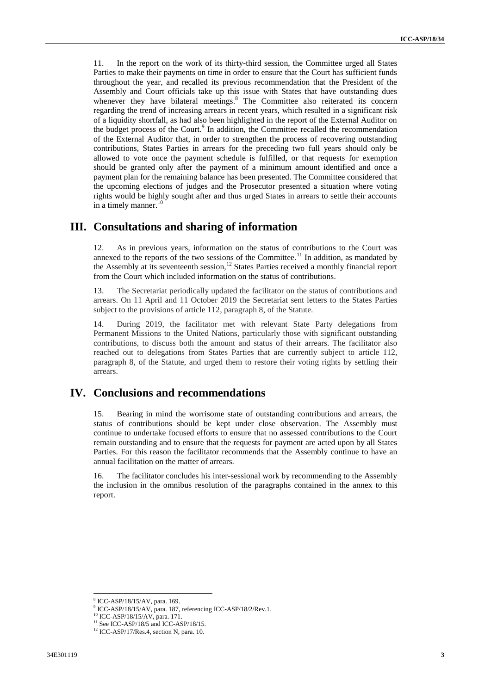11. In the report on the work of its thirty-third session, the Committee urged all States Parties to make their payments on time in order to ensure that the Court has sufficient funds throughout the year, and recalled its previous recommendation that the President of the Assembly and Court officials take up this issue with States that have outstanding dues whenever they have bilateral meetings.<sup>8</sup> The Committee also reiterated its concern regarding the trend of increasing arrears in recent years, which resulted in a significant risk of a liquidity shortfall, as had also been highlighted in the report of the External Auditor on the budget process of the Court.<sup>9</sup> In addition, the Committee recalled the recommendation of the External Auditor that, in order to strengthen the process of recovering outstanding contributions, States Parties in arrears for the preceding two full years should only be allowed to vote once the payment schedule is fulfilled, or that requests for exemption should be granted only after the payment of a minimum amount identified and once a payment plan for the remaining balance has been presented. The Committee considered that the upcoming elections of judges and the Prosecutor presented a situation where voting rights would be highly sought after and thus urged States in arrears to settle their accounts in a timely manner.<sup>10</sup>

#### **III. Consultations and sharing of information**

12. As in previous years, information on the status of contributions to the Court was annexed to the reports of the two sessions of the Committee.<sup>11</sup> In addition, as mandated by the Assembly at its seventeenth session, $12$  States Parties received a monthly financial report from the Court which included information on the status of contributions.

13. The Secretariat periodically updated the facilitator on the status of contributions and arrears. On 11 April and 11 October 2019 the Secretariat sent letters to the States Parties subject to the provisions of article 112, paragraph 8, of the Statute.

14. During 2019, the facilitator met with relevant State Party delegations from Permanent Missions to the United Nations, particularly those with significant outstanding contributions, to discuss both the amount and status of their arrears. The facilitator also reached out to delegations from States Parties that are currently subject to article 112, paragraph 8, of the Statute, and urged them to restore their voting rights by settling their arrears.

### **IV. Conclusions and recommendations**

15. Bearing in mind the worrisome state of outstanding contributions and arrears, the status of contributions should be kept under close observation. The Assembly must continue to undertake focused efforts to ensure that no assessed contributions to the Court remain outstanding and to ensure that the requests for payment are acted upon by all States Parties. For this reason the facilitator recommends that the Assembly continue to have an annual facilitation on the matter of arrears.

16. The facilitator concludes his inter-sessional work by recommending to the Assembly the inclusion in the omnibus resolution of the paragraphs contained in the annex to this report.

1

<sup>8</sup> ICC-ASP/18/15/AV, para. 169.

<sup>9</sup> ICC-ASP/18/15/AV, para. 187, referencing ICC-ASP/18/2/Rev.1.

<sup>&</sup>lt;sup>10</sup> ICC-ASP/18/15/AV, para. 171.

 $11$  See ICC-ASP/18/5 and ICC-ASP/18/15.

<sup>&</sup>lt;sup>12</sup> ICC-ASP/17/Res.4, section N, para. 10.